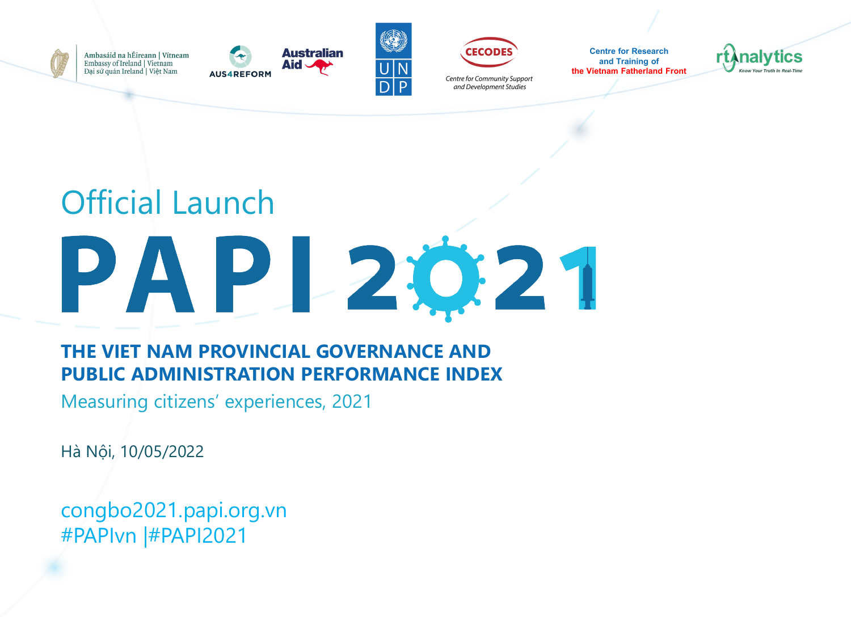

Ambasáid na hÉireann | Vítneam Embassy of Ireland | Vietnam Đại sứ quán Ireland | Việt Nam







Centre for Community Support and Development Studies

**Centre for Research and Training of the Vietnam Fatherland Front**



## Official Launch PAPI 2021

#### **THE VIET NAM PROVINCIAL GOVERNANCE AND PUBLIC ADMINISTRATION PERFORMANCE INDEX**

Measuring citizens' experiences, 2021

Hà Nội, 10/05/2022

congbo2021.papi.org.vn #PAPIvn |#PAPI2021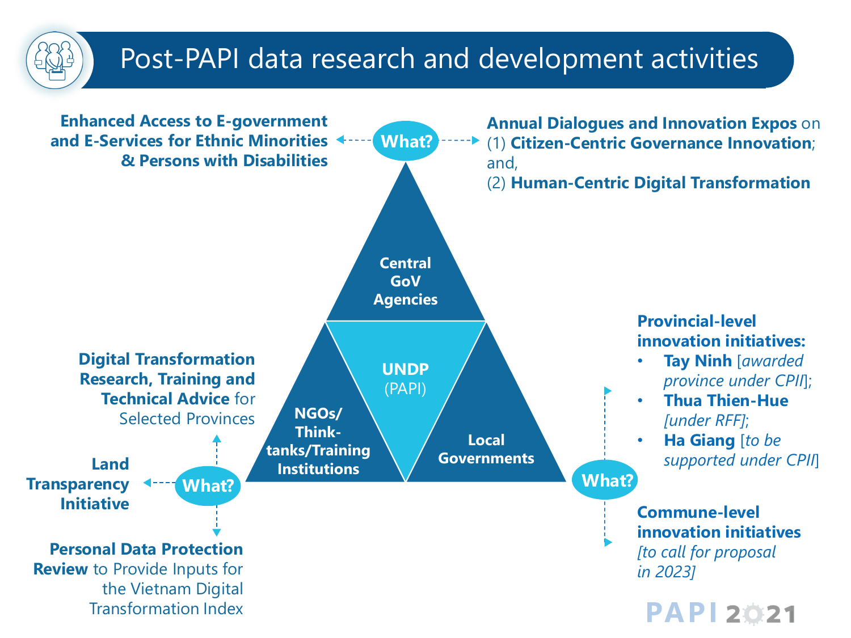#### Post-PAPI data research and development activities

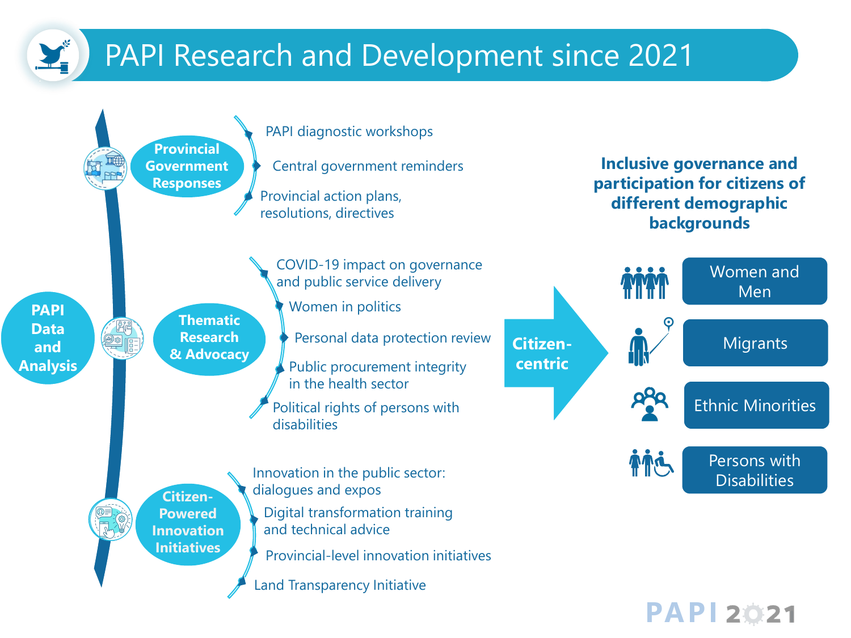### PAPI Research and Development since 2021